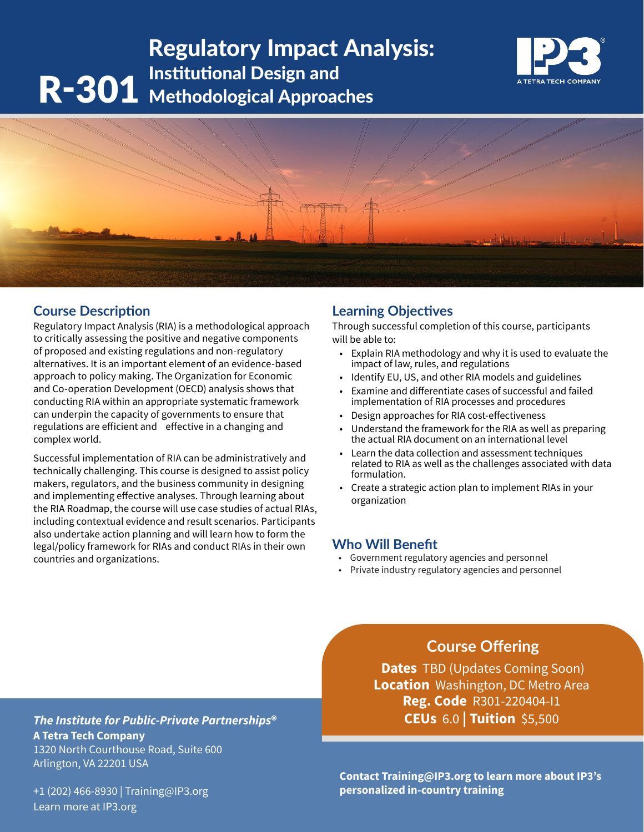# R-301 Institutional Design and<br>
R-301 Methodological Approac Regulatory Impact Analysis: Methodological Approaches





# **Course Description**

Regulatory Impact Analysis (RIA) is a methodological approach to critically assessing the positive and negative components of proposed and existing regulations and non-regulatory alternatives. It is an important element of an evidence-based approach to policy making. The Organization for Economic and Co-operation Development (OECD) analysis shows that conducting RIA within an appropriate systematic framework can underpin the capacity of governments to ensure that regulations are efficient and effective in a changing and complex world.

Successful implementation of RIA can be administratively and technically challenging. This course is designed to assist policy makers, regulators, and the business community in designing and implementing effective analyses. Through learning about the RIA Roadmap, the course will use case studies of actual RIAs, including contextual evidence and result scenarios. Participants also undertake action planning and will learn how to form the legal/policy framework for RIAs and conduct RIAs in their own countries and organizations.

# **Learning Objectives**

Through successful completion of this course, participants will be able to:

- Explain RIA methodology and why it is used to evaluate the impact of law, rules, and regulations
- Identify EU, US, and other RIA models and guidelines
- Examine and differentiate cases of successful and failed implementation of RIA processes and procedures
- Design approaches for RIA cost-effectiveness
- Understand the framework for the RIA as well as preparing the actual RIA document on an international level
- Learn the data collection and assessment techniques related to RIA as well as the challenges associated with data formulation.
- Create a strategic action plan to implement RIAs in your organization

# **Who Will Benefit**

- Government regulatory agencies and personnel
- Private industry regulatory agencies and personnel

# **Course Offering**

**Dates** TBD (Updates Coming Soon) **Location** Washington, DC Metro Area **Reg. Code** R301-220404-I1 **CEUs** 6.0 **| Tuition** \$5,500

*The Institute for Public-Private Partnerships***® A Tetra Tech Company** 1320 North Courthouse Road, Suite 600 Arlington, VA 22201 USA

+1 (202) 466-8930 | Training@IP3.org Learn more at IP3.org

**Contact Training@IP3.org to learn more about IP3's personalized in-country training**